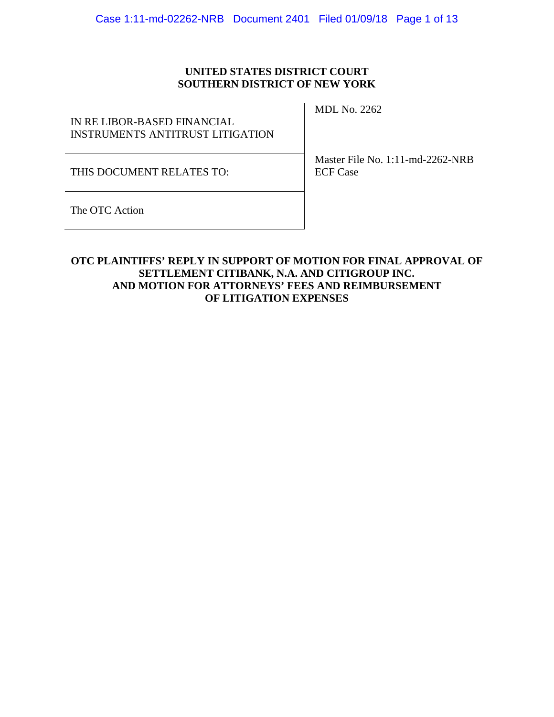## **UNITED STATES DISTRICT COURT SOUTHERN DISTRICT OF NEW YORK**

IN RE LIBOR-BASED FINANCIAL INSTRUMENTS ANTITRUST LITIGATION MDL No. 2262

THIS DOCUMENT RELATES TO:

Master File No. 1:11-md-2262-NRB ECF Case

The OTC Action

## **OTC PLAINTIFFS' REPLY IN SUPPORT OF MOTION FOR FINAL APPROVAL OF SETTLEMENT CITIBANK, N.A. AND CITIGROUP INC. AND MOTION FOR ATTORNEYS' FEES AND REIMBURSEMENT OF LITIGATION EXPENSES**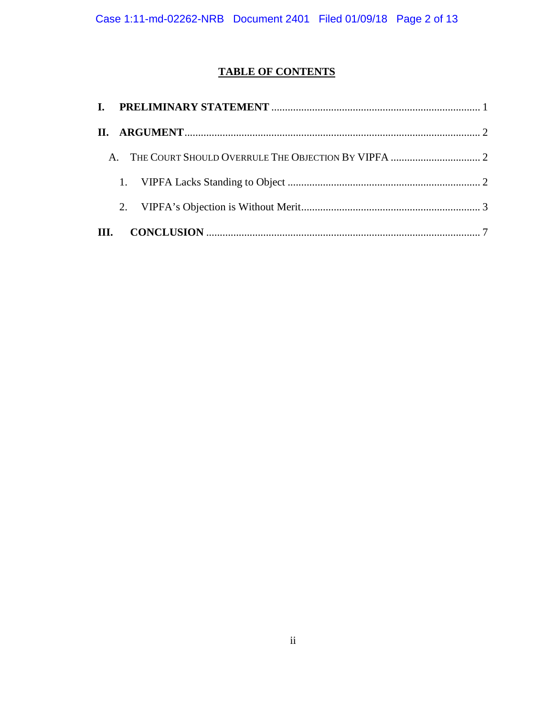# **TABLE OF CONTENTS**

| $\mathbf{A}$ |  |
|--------------|--|
|              |  |
|              |  |
|              |  |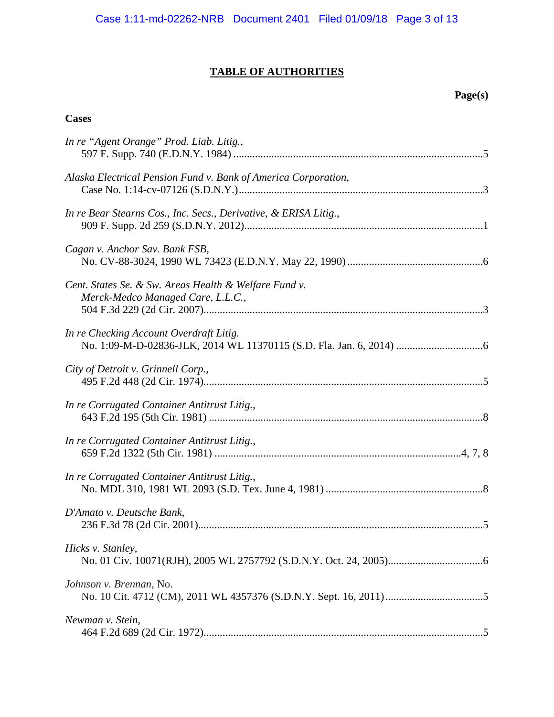# **TABLE OF AUTHORITIES**

# **Page(s)**

# **Cases**

| In re "Agent Orange" Prod. Liab. Litig.,                                                   |
|--------------------------------------------------------------------------------------------|
| Alaska Electrical Pension Fund v. Bank of America Corporation,                             |
| In re Bear Stearns Cos., Inc. Secs., Derivative, & ERISA Litig.,                           |
| Cagan v. Anchor Sav. Bank FSB,                                                             |
| Cent. States Se. & Sw. Areas Health & Welfare Fund v.<br>Merck-Medco Managed Care, L.L.C., |
| In re Checking Account Overdraft Litig.                                                    |
| City of Detroit v. Grinnell Corp.,                                                         |
| In re Corrugated Container Antitrust Litig.,                                               |
| In re Corrugated Container Antitrust Litig.,                                               |
| In re Corrugated Container Antitrust Litig.,                                               |
| D'Amato v. Deutsche Bank,                                                                  |
| Hicks v. Stanley,                                                                          |
| Johnson v. Brennan, No.                                                                    |
| Newman v. Stein,                                                                           |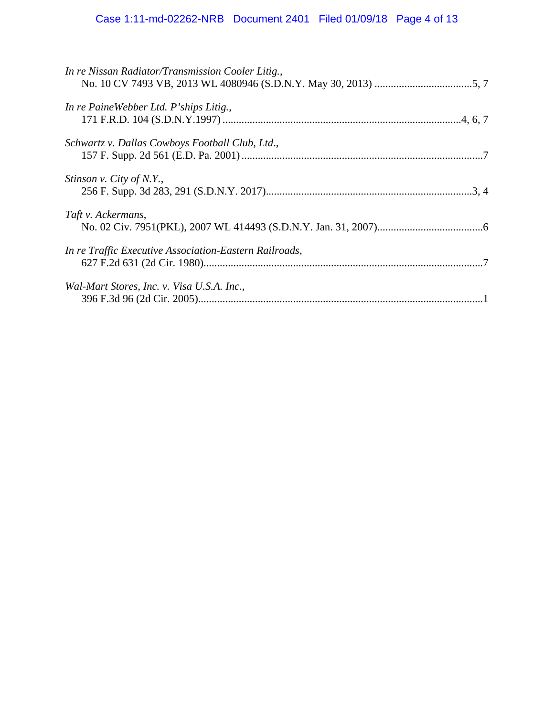| In re Nissan Radiator/Transmission Cooler Litig.,      |
|--------------------------------------------------------|
| In re PaineWebber Ltd. P'ships Litig.,                 |
| Schwartz v. Dallas Cowboys Football Club, Ltd.,        |
| Stinson v. City of N.Y.,                               |
| Taft v. Ackermans,                                     |
| In re Traffic Executive Association-Eastern Railroads, |
| Wal-Mart Stores, Inc. v. Visa U.S.A. Inc.,             |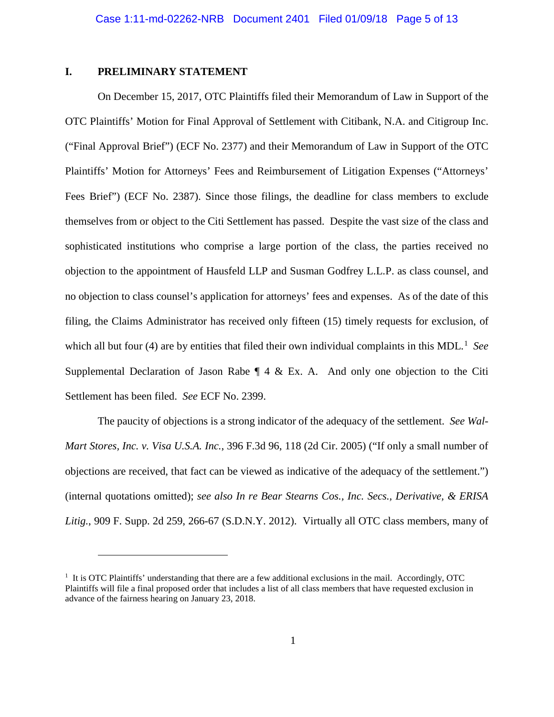#### <span id="page-4-0"></span>**I. PRELIMINARY STATEMENT**

<span id="page-4-2"></span><span id="page-4-1"></span> $\overline{a}$ 

On December 15, 2017, OTC Plaintiffs filed their Memorandum of Law in Support of the OTC Plaintiffs' Motion for Final Approval of Settlement with Citibank, N.A. and Citigroup Inc. ("Final Approval Brief") (ECF No. 2377) and their Memorandum of Law in Support of the OTC Plaintiffs' Motion for Attorneys' Fees and Reimbursement of Litigation Expenses ("Attorneys' Fees Brief") (ECF No. 2387). Since those filings, the deadline for class members to exclude themselves from or object to the Citi Settlement has passed. Despite the vast size of the class and sophisticated institutions who comprise a large portion of the class, the parties received no objection to the appointment of Hausfeld LLP and Susman Godfrey L.L.P. as class counsel, and no objection to class counsel's application for attorneys' fees and expenses. As of the date of this filing, the Claims Administrator has received only fifteen (15) timely requests for exclusion, of which all but four (4) are by entities that filed their own individual complaints in this MDL.<sup>[1](#page-4-3)</sup> See Supplemental Declaration of Jason Rabe  $\P$  4 & Ex. A. And only one objection to the Citi Settlement has been filed. *See* ECF No. 2399.

The paucity of objections is a strong indicator of the adequacy of the settlement. *See Wal-Mart Stores, Inc. v. Visa U.S.A. Inc.*, 396 F.3d 96, 118 (2d Cir. 2005) ("If only a small number of objections are received, that fact can be viewed as indicative of the adequacy of the settlement.") (internal quotations omitted); *see also In re Bear Stearns Cos., Inc. Secs., Derivative, & ERISA Litig.*, 909 F. Supp. 2d 259, 266-67 (S.D.N.Y. 2012). Virtually all OTC class members, many of

<span id="page-4-3"></span><sup>&</sup>lt;sup>1</sup> It is OTC Plaintiffs' understanding that there are a few additional exclusions in the mail. Accordingly, OTC Plaintiffs will file a final proposed order that includes a list of all class members that have requested exclusion in advance of the fairness hearing on January 23, 2018.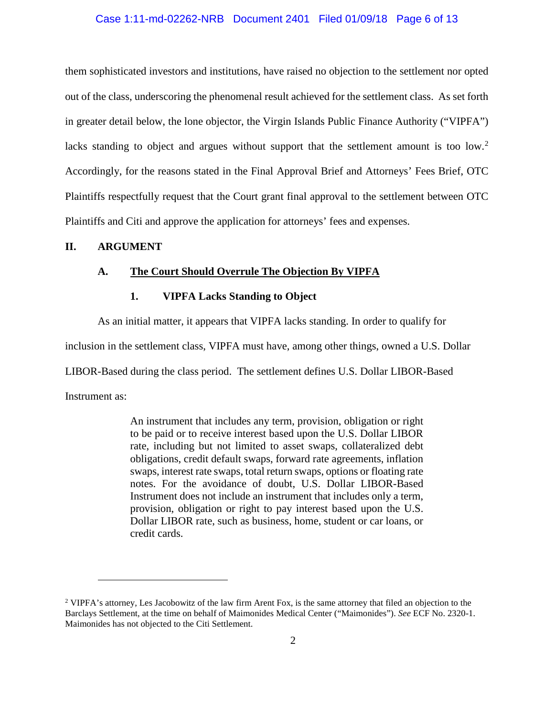#### Case 1:11-md-02262-NRB Document 2401 Filed 01/09/18 Page 6 of 13

them sophisticated investors and institutions, have raised no objection to the settlement nor opted out of the class, underscoring the phenomenal result achieved for the settlement class. As set forth in greater detail below, the lone objector, the Virgin Islands Public Finance Authority ("VIPFA") lacks standing to object and argues without support that the settlement amount is too low.<sup>[2](#page-5-3)</sup> Accordingly, for the reasons stated in the Final Approval Brief and Attorneys' Fees Brief, OTC Plaintiffs respectfully request that the Court grant final approval to the settlement between OTC Plaintiffs and Citi and approve the application for attorneys' fees and expenses.

#### <span id="page-5-1"></span><span id="page-5-0"></span>**II. ARGUMENT**

#### <span id="page-5-2"></span>**A. The Court Should Overrule The Objection By VIPFA**

#### **1. VIPFA Lacks Standing to Object**

As an initial matter, it appears that VIPFA lacks standing. In order to qualify for

inclusion in the settlement class, VIPFA must have, among other things, owned a U.S. Dollar

LIBOR-Based during the class period. The settlement defines U.S. Dollar LIBOR-Based

Instrument as:

 $\overline{a}$ 

An instrument that includes any term, provision, obligation or right to be paid or to receive interest based upon the U.S. Dollar LIBOR rate, including but not limited to asset swaps, collateralized debt obligations, credit default swaps, forward rate agreements, inflation swaps, interest rate swaps, total return swaps, options or floating rate notes. For the avoidance of doubt, U.S. Dollar LIBOR-Based Instrument does not include an instrument that includes only a term, provision, obligation or right to pay interest based upon the U.S. Dollar LIBOR rate, such as business, home, student or car loans, or credit cards.

<span id="page-5-3"></span><sup>2</sup> VIPFA's attorney, Les Jacobowitz of the law firm Arent Fox, is the same attorney that filed an objection to the Barclays Settlement, at the time on behalf of Maimonides Medical Center ("Maimonides"). *See* ECF No. 2320-1. Maimonides has not objected to the Citi Settlement.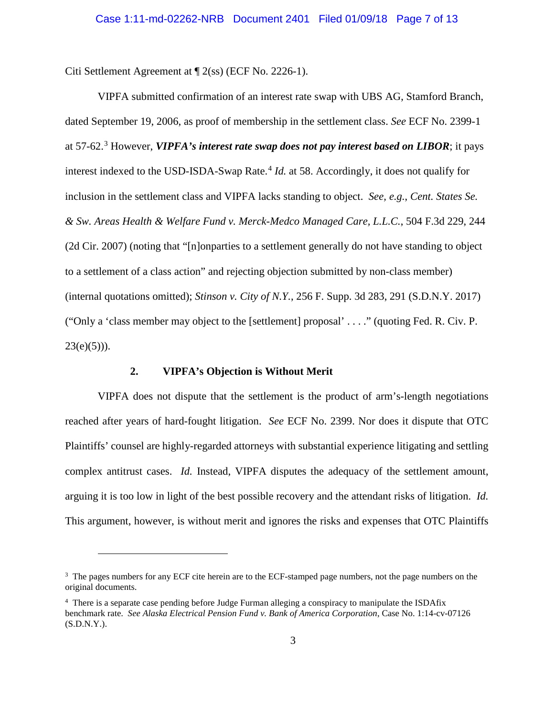Citi Settlement Agreement at ¶ 2(ss) (ECF No. 2226-1).

VIPFA submitted confirmation of an interest rate swap with UBS AG, Stamford Branch, dated September 19, 2006, as proof of membership in the settlement class. *See* ECF No. 2399-1 at 57-62. [3](#page-6-5) However, *VIPFA's interest rate swap does not pay interest based on LIBOR*; it pays interest indexed to the USD-ISDA-Swap Rate.<sup>[4](#page-6-6)</sup> *Id.* at 58. Accordingly, it does not qualify for inclusion in the settlement class and VIPFA lacks standing to object. *See, e.g.*, *Cent. States Se. & Sw. Areas Health & Welfare Fund v. Merck-Medco Managed Care, L.L.C.*, 504 F.3d 229, 244 (2d Cir. 2007) (noting that "[n]onparties to a settlement generally do not have standing to object to a settlement of a class action" and rejecting objection submitted by non-class member) (internal quotations omitted); *Stinson v. City of N.Y.*, 256 F. Supp. 3d 283, 291 (S.D.N.Y. 2017) ("Only a 'class member may object to the [settlement] proposal' . . . ." (quoting Fed. R. Civ. P.  $23(e)(5))$ ).

#### <span id="page-6-4"></span><span id="page-6-3"></span><span id="page-6-2"></span>**2. VIPFA's Objection is Without Merit**

<span id="page-6-1"></span> $\overline{a}$ 

<span id="page-6-0"></span>VIPFA does not dispute that the settlement is the product of arm's-length negotiations reached after years of hard-fought litigation. *See* ECF No. 2399. Nor does it dispute that OTC Plaintiffs' counsel are highly-regarded attorneys with substantial experience litigating and settling complex antitrust cases. *Id.* Instead, VIPFA disputes the adequacy of the settlement amount, arguing it is too low in light of the best possible recovery and the attendant risks of litigation. *Id.*  This argument, however, is without merit and ignores the risks and expenses that OTC Plaintiffs

<span id="page-6-5"></span><sup>&</sup>lt;sup>3</sup> The pages numbers for any ECF cite herein are to the ECF-stamped page numbers, not the page numbers on the original documents.

<span id="page-6-6"></span><sup>&</sup>lt;sup>4</sup> There is a separate case pending before Judge Furman alleging a conspiracy to manipulate the ISDAfix benchmark rate. *See Alaska Electrical Pension Fund v. Bank of America Corporation*, Case No. 1:14-cv-07126  $(S.D.N.Y.).$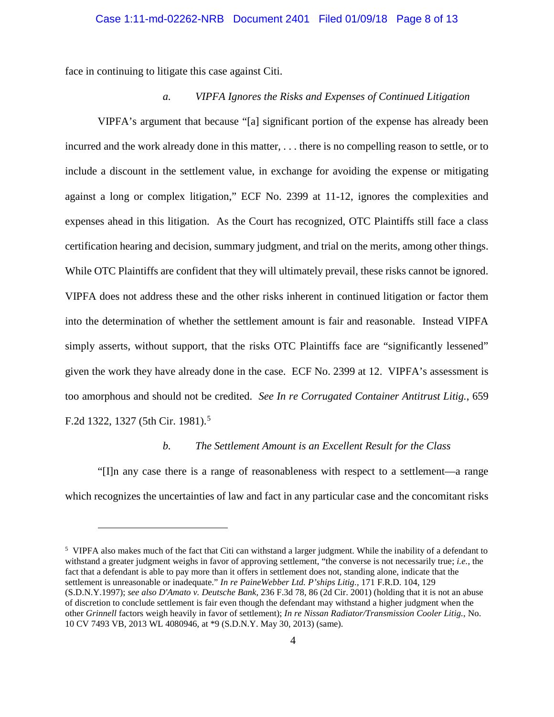### Case 1:11-md-02262-NRB Document 2401 Filed 01/09/18 Page 8 of 13

face in continuing to litigate this case against Citi.

<span id="page-7-4"></span><span id="page-7-3"></span><span id="page-7-2"></span> $\overline{a}$ 

#### *a. VIPFA Ignores the Risks and Expenses of Continued Litigation*

VIPFA's argument that because "[a] significant portion of the expense has already been incurred and the work already done in this matter, . . . there is no compelling reason to settle, or to include a discount in the settlement value, in exchange for avoiding the expense or mitigating against a long or complex litigation," ECF No. 2399 at 11-12, ignores the complexities and expenses ahead in this litigation. As the Court has recognized, OTC Plaintiffs still face a class certification hearing and decision, summary judgment, and trial on the merits, among other things. While OTC Plaintiffs are confident that they will ultimately prevail, these risks cannot be ignored. VIPFA does not address these and the other risks inherent in continued litigation or factor them into the determination of whether the settlement amount is fair and reasonable. Instead VIPFA simply asserts, without support, that the risks OTC Plaintiffs face are "significantly lessened" given the work they have already done in the case. ECF No. 2399 at 12. VIPFA's assessment is too amorphous and should not be credited. *See In re Corrugated Container Antitrust Litig.*, 659 F.2d 1322, 1327 ([5](#page-7-5)th Cir. 1981).<sup>5</sup>

#### <span id="page-7-1"></span>*b. The Settlement Amount is an Excellent Result for the Class*

"[I]n any case there is a range of reasonableness with respect to a settlement—a range which recognizes the uncertainties of law and fact in any particular case and the concomitant risks

<span id="page-7-5"></span><span id="page-7-0"></span><sup>&</sup>lt;sup>5</sup> VIPFA also makes much of the fact that Citi can withstand a larger judgment. While the inability of a defendant to withstand a greater judgment weighs in favor of approving settlement, "the converse is not necessarily true; *i.e.,* the fact that a defendant is able to pay more than it offers in settlement does not, standing alone, indicate that the settlement is unreasonable or inadequate." *In re PaineWebber Ltd. P'ships Litig.,* 171 F.R.D. 104, 129 (S.D.N.Y.1997); *see also D'Amato v. Deutsche Bank,* 236 F.3d 78, 86 (2d Cir. 2001) (holding that it is not an abuse of discretion to conclude settlement is fair even though the defendant may withstand a higher judgment when the other *Grinnell* factors weigh heavily in favor of settlement); *In re Nissan Radiator/Transmission Cooler Litig.*, No. 10 CV 7493 VB, 2013 WL 4080946, at \*9 (S.D.N.Y. May 30, 2013) (same).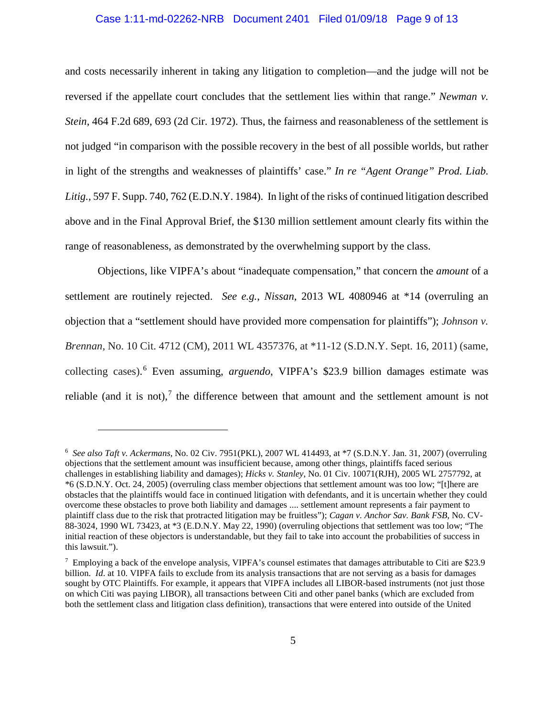# <span id="page-8-4"></span><span id="page-8-0"></span>Case 1:11-md-02262-NRB Document 2401 Filed 01/09/18 Page 9 of 13

and costs necessarily inherent in taking any litigation to completion—and the judge will not be reversed if the appellate court concludes that the settlement lies within that range." *Newman v. Stein,* 464 F.2d 689, 693 (2d Cir. 1972). Thus, the fairness and reasonableness of the settlement is not judged "in comparison with the possible recovery in the best of all possible worlds, but rather in light of the strengths and weaknesses of plaintiffs' case." *In re "Agent Orange" Prod. Liab. Litig.,* 597 F. Supp. 740, 762 (E.D.N.Y. 1984). In light of the risks of continued litigation described above and in the Final Approval Brief, the \$130 million settlement amount clearly fits within the range of reasonableness, as demonstrated by the overwhelming support by the class.

Objections, like VIPFA's about "inadequate compensation," that concern the *amount* of a settlement are routinely rejected. *See e.g.*, *Nissan*, 2013 WL 4080946 at \*14 (overruling an objection that a "settlement should have provided more compensation for plaintiffs"); *Johnson v. Brennan,* No. 10 Cit. 4712 (CM), 2011 WL 4357376, at \*11-12 (S.D.N.Y. Sept. 16, 2011) (same, collecting cases). [6](#page-8-6) Even assuming, *arguendo*, VIPFA's \$23.9 billion damages estimate was reliable (and it is not),<sup>[7](#page-8-7)</sup> the difference between that amount and the settlement amount is not

<span id="page-8-5"></span><span id="page-8-3"></span><span id="page-8-2"></span><span id="page-8-1"></span> $\overline{a}$ 

<span id="page-8-6"></span><sup>6</sup> *See also Taft v. Ackermans*, No. 02 Civ. 7951(PKL), 2007 WL 414493, at \*7 (S.D.N.Y. Jan. 31, 2007) (overruling objections that the settlement amount was insufficient because, among other things, plaintiffs faced serious challenges in establishing liability and damages); *Hicks v. Stanley*, No. 01 Civ. 10071(RJH), 2005 WL 2757792, at \*6 (S.D.N.Y. Oct. 24, 2005) (overruling class member objections that settlement amount was too low; "[t]here are obstacles that the plaintiffs would face in continued litigation with defendants, and it is uncertain whether they could overcome these obstacles to prove both liability and damages .... settlement amount represents a fair payment to plaintiff class due to the risk that protracted litigation may be fruitless"); *Cagan v. Anchor Sav. Bank FSB*, No. CV-88-3024, 1990 WL 73423, at \*3 (E.D.N.Y. May 22, 1990) (overruling objections that settlement was too low; "The initial reaction of these objectors is understandable, but they fail to take into account the probabilities of success in this lawsuit.").

<span id="page-8-7"></span><sup>&</sup>lt;sup>7</sup> Employing a back of the envelope analysis, VIPFA's counsel estimates that damages attributable to Citi are \$23.9 billion. *Id.* at 10. VIPFA fails to exclude from its analysis transactions that are not serving as a basis for damages sought by OTC Plaintiffs. For example, it appears that VIPFA includes all LIBOR-based instruments (not just those on which Citi was paying LIBOR), all transactions between Citi and other panel banks (which are excluded from both the settlement class and litigation class definition), transactions that were entered into outside of the United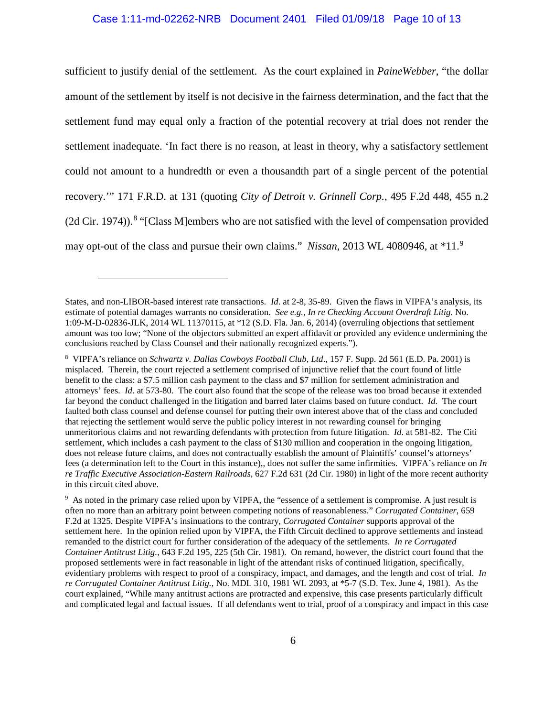#### <span id="page-9-5"></span>Case 1:11-md-02262-NRB Document 2401 Filed 01/09/18 Page 10 of 13

sufficient to justify denial of the settlement. As the court explained in *PaineWebber*, "the dollar amount of the settlement by itself is not decisive in the fairness determination, and the fact that the settlement fund may equal only a fraction of the potential recovery at trial does not render the settlement inadequate. 'In fact there is no reason, at least in theory, why a satisfactory settlement could not amount to a hundredth or even a thousandth part of a single percent of the potential recovery.'" 171 F.R.D. at 131 (quoting *City of Detroit v. Grinnell Corp.*, 495 F.2d 448, 455 n.2 (2d Cir. 1974)). [8](#page-9-9) "[Class M]embers who are not satisfied with the level of compensation provided may opt-out of the class and pursue their own claims." *Nissan*, 2013 WL 4080946, at \*11. [9](#page-9-10)

<span id="page-9-6"></span><span id="page-9-4"></span><span id="page-9-0"></span> $\overline{a}$ 

States, and non-LIBOR-based interest rate transactions. *Id*. at 2-8, 35-89. Given the flaws in VIPFA's analysis, its estimate of potential damages warrants no consideration. *See e.g., In re Checking Account Overdraft Litig.* No. 1:09-M-D-02836-JLK, 2014 WL 11370115, at \*12 (S.D. Fla. Jan. 6, 2014) (overruling objections that settlement amount was too low; "None of the objectors submitted an expert affidavit or provided any evidence undermining the conclusions reached by Class Counsel and their nationally recognized experts.").

<span id="page-9-9"></span><span id="page-9-7"></span><sup>8</sup> VIPFA's reliance on *Schwartz v. Dallas Cowboys Football Club, Ltd*., 157 F. Supp. 2d 561 (E.D. Pa. 2001) is misplaced. Therein, the court rejected a settlement comprised of injunctive relief that the court found of little benefit to the class: a \$7.5 million cash payment to the class and \$7 million for settlement administration and attorneys' fees. *Id*. at 573-80. The court also found that the scope of the release was too broad because it extended far beyond the conduct challenged in the litigation and barred later claims based on future conduct. *Id.* The court faulted both class counsel and defense counsel for putting their own interest above that of the class and concluded that rejecting the settlement would serve the public policy interest in not rewarding counsel for bringing unmeritorious claims and not rewarding defendants with protection from future litigation. *Id*. at 581-82. The Citi settlement, which includes a cash payment to the class of \$130 million and cooperation in the ongoing litigation, does not release future claims, and does not contractually establish the amount of Plaintiffs' counsel's attorneys' fees (a determination left to the Court in this instance),, does not suffer the same infirmities. VIPFA's reliance on *In re Traffic Executive Association-Eastern Railroads*, 627 F.2d 631 (2d Cir. 1980) in light of the more recent authority in this circuit cited above.

<span id="page-9-10"></span><span id="page-9-8"></span><span id="page-9-3"></span><span id="page-9-2"></span><span id="page-9-1"></span><sup>&</sup>lt;sup>9</sup> As noted in the primary case relied upon by VIPFA, the "essence of a settlement is compromise. A just result is often no more than an arbitrary point between competing notions of reasonableness." *Corrugated Container*, 659 F.2d at 1325. Despite VIPFA's insinuations to the contrary, *Corrugated Container* supports approval of the settlement here. In the opinion relied upon by VIPFA, the Fifth Circuit declined to approve settlements and instead remanded to the district court for further consideration of the adequacy of the settlements. *In re Corrugated Container Antitrust Litig.*, 643 F.2d 195, 225 (5th Cir. 1981). On remand, however, the district court found that the proposed settlements were in fact reasonable in light of the attendant risks of continued litigation, specifically, evidentiary problems with respect to proof of a conspiracy, impact, and damages, and the length and cost of trial. *In re Corrugated Container Antitrust Litig.*, No. MDL 310, 1981 WL 2093, at \*5-7 (S.D. Tex. June 4, 1981). As the court explained, "While many antitrust actions are protracted and expensive, this case presents particularly difficult and complicated legal and factual issues. If all defendants went to trial, proof of a conspiracy and impact in this case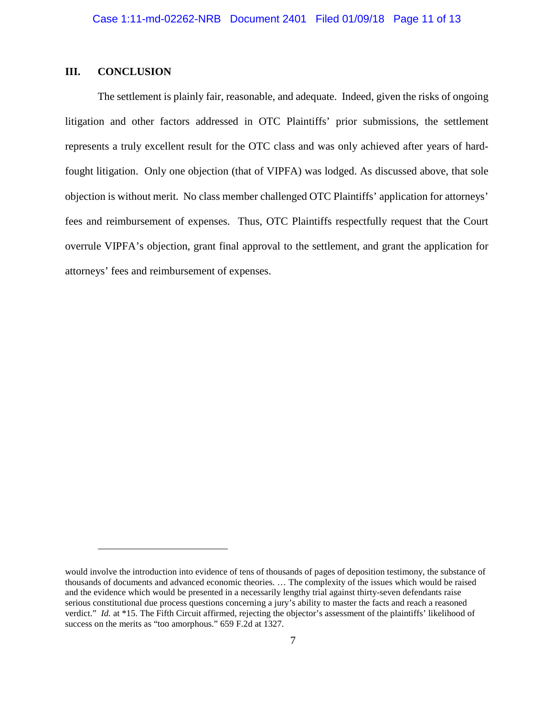### <span id="page-10-0"></span>**III. CONCLUSION**

<span id="page-10-1"></span> $\overline{a}$ 

The settlement is plainly fair, reasonable, and adequate. Indeed, given the risks of ongoing litigation and other factors addressed in OTC Plaintiffs' prior submissions, the settlement represents a truly excellent result for the OTC class and was only achieved after years of hardfought litigation. Only one objection (that of VIPFA) was lodged. As discussed above, that sole objection is without merit. No class member challenged OTC Plaintiffs' application for attorneys' fees and reimbursement of expenses. Thus, OTC Plaintiffs respectfully request that the Court overrule VIPFA's objection, grant final approval to the settlement, and grant the application for attorneys' fees and reimbursement of expenses.

would involve the introduction into evidence of tens of thousands of pages of deposition testimony, the substance of thousands of documents and advanced economic theories. … The complexity of the issues which would be raised and the evidence which would be presented in a necessarily lengthy trial against thirty-seven defendants raise serious constitutional due process questions concerning a jury's ability to master the facts and reach a reasoned verdict." *Id.* at \*15. The Fifth Circuit affirmed, rejecting the objector's assessment of the plaintiffs' likelihood of success on the merits as "too amorphous." 659 F.2d at 1327.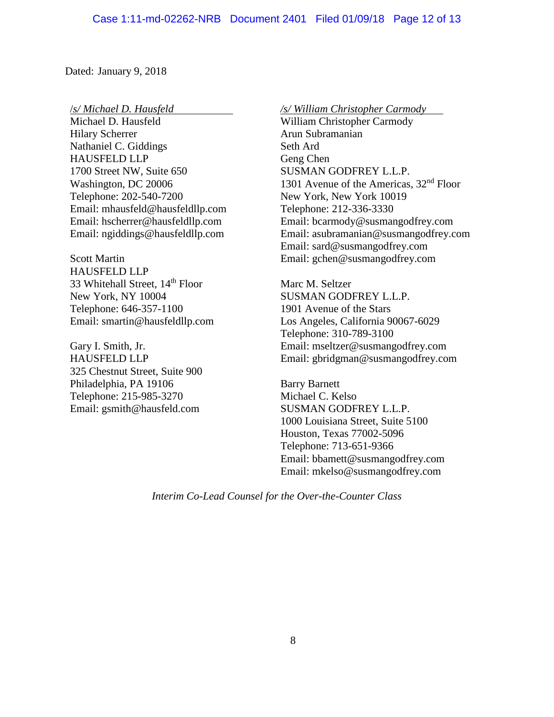Dated: January 9, 2018

/*s/ Michael D. Hausfeld*

Michael D. Hausfeld Hilary Scherrer Nathaniel C. Giddings HAUSFELD LLP 1700 Street NW, Suite 650 Washington, DC 20006 Telephone: 202-540-7200 Email: mhausfeld@hausfeldllp.com Email: hscherrer@hausfeldllp.com Email: ngiddings@hausfeldllp.com

Scott Martin HAUSFELD LLP 33 Whitehall Street, 14<sup>th</sup> Floor New York, NY 10004 Telephone: 646-357-1100 Email: smartin@hausfeldllp.com

Gary I. Smith, Jr. HAUSFELD LLP 325 Chestnut Street, Suite 900 Philadelphia, PA 19106 Telephone: 215-985-3270 Email: gsmith@hausfeld.com

*/s/ William Christopher Carmody* William Christopher Carmody Arun Subramanian Seth Ard Geng Chen SUSMAN GODFREY L.L.P. 1301 Avenue of the Americas, 32<sup>nd</sup> Floor New York, New York 10019 Telephone: 212-336-3330 Email: bcarmody@susmangodfrey.com Email: asubramanian@susmangodfrey.com Email: sard@susmangodfrey.com Email: gchen@susmangodfrey.com

Marc M. Seltzer SUSMAN GODFREY L.L.P. 1901 Avenue of the Stars Los Angeles, California 90067-6029 Telephone: 310-789-3100 Email: mseltzer@susmangodfrey.com Email: gbridgman@susmangodfrey.com

Barry Barnett Michael C. Kelso SUSMAN GODFREY L.L.P. 1000 Louisiana Street, Suite 5100 Houston, Texas 77002-5096 Telephone: 713-651-9366 Email: bbamett@susmangodfrey.com Email: mkelso@susmangodfrey.com

*Interim Co-Lead Counsel for the Over-the-Counter Class*